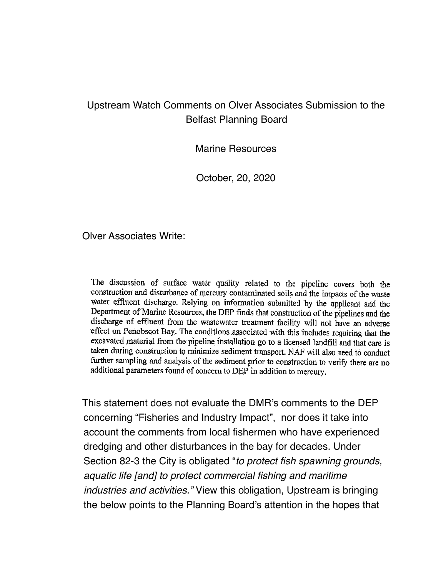## Upstream Watch Comments on Olver Associates Submission to the Belfast Planning Board

Marine Resources

October, 20, 2020

Olver Associates Write:

The discussion of surface water quality related to the pipeline covers both the construction and disturbance of mercury contaminated soils and the impacts of the waste water effluent discharge. Relying on information submitted by the applicant and the Department of Marine Resources, the DEP finds that construction of the pipelines and the discharge of effluent from the wastewater treatment facility will not have an adverse effect on Penobscot Bay. The conditions associated with this includes requiring that the excavated material from the pipeline installation go to a licensed landfill and that care is taken during construction to minimize sediment transport. NAF will also need to conduct further sampling and analysis of the sediment prior to construction to verify there are no additional parameters found of concern to DEP in addition to mercury.

This statement does not evaluate the DMR's comments to the DEP concerning "Fisheries and Industry Impact", nor does it take into account the comments from local fishermen who have experienced dredging and other disturbances in the bay for decades. Under Section 82-3 the City is obligated "*to protect fish spawning grounds, aquatic life [and] to protect commercial fishing and maritime industries and activities."* View this obligation, Upstream is bringing the below points to the Planning Board's attention in the hopes that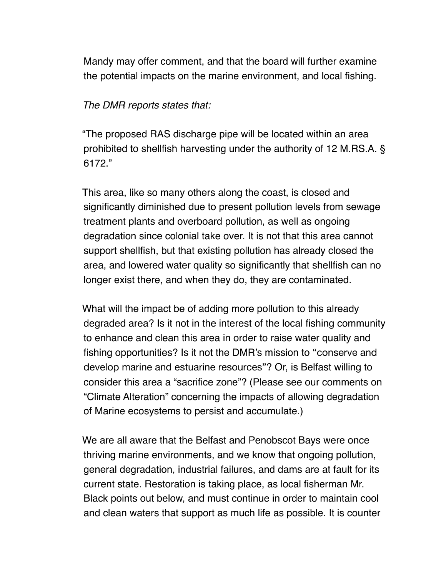Mandy may offer comment, and that the board will further examine the potential impacts on the marine environment, and local fishing.

## *The DMR reports states that:*

"The proposed RAS discharge pipe will be located within an area prohibited to shellfish harvesting under the authority of 12 M.RS.A. § 6172."

This area, like so many others along the coast, is closed and significantly diminished due to present pollution levels from sewage treatment plants and overboard pollution, as well as ongoing degradation since colonial take over. It is not that this area cannot support shellfish, but that existing pollution has already closed the area, and lowered water quality so significantly that shellfish can no longer exist there, and when they do, they are contaminated.

What will the impact be of adding more pollution to this already degraded area? Is it not in the interest of the local fishing community to enhance and clean this area in order to raise water quality and fishing opportunities? Is it not the DMR's mission to "conserve and develop marine and estuarine resources"? Or, is Belfast willing to consider this area a "sacrifice zone"? (Please see our comments on "Climate Alteration" concerning the impacts of allowing degradation of Marine ecosystems to persist and accumulate.)

We are all aware that the Belfast and Penobscot Bays were once thriving marine environments, and we know that ongoing pollution, general degradation, industrial failures, and dams are at fault for its current state. Restoration is taking place, as local fisherman Mr. Black points out below, and must continue in order to maintain cool and clean waters that support as much life as possible. It is counter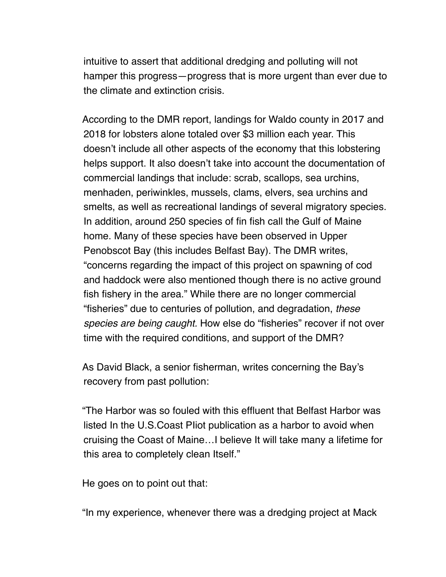intuitive to assert that additional dredging and polluting will not hamper this progress—progress that is more urgent than ever due to the climate and extinction crisis.

According to the DMR report, landings for Waldo county in 2017 and 2018 for lobsters alone totaled over \$3 million each year. This doesn't include all other aspects of the economy that this lobstering helps support. It also doesn't take into account the documentation of commercial landings that include: scrab, scallops, sea urchins, menhaden, periwinkles, mussels, clams, elvers, sea urchins and smelts, as well as recreational landings of several migratory species. In addition, around 250 species of fin fish call the Gulf of Maine home. Many of these species have been observed in Upper Penobscot Bay (this includes Belfast Bay). The DMR writes, "concerns regarding the impact of this project on spawning of cod and haddock were also mentioned though there is no active ground fish fishery in the area." While there are no longer commercial "fisheries" due to centuries of pollution, and degradation, *these species are being caught.* How else do "fisheries" recover if not over time with the required conditions, and support of the DMR?

As David Black, a senior fisherman, writes concerning the Bay's recovery from past pollution:

"The Harbor was so fouled with this effluent that Belfast Harbor was listed In the U.S.Coast PIiot publication as a harbor to avoid when cruising the Coast of Maine…I believe It will take many a lifetime for this area to completely clean Itself."

He goes on to point out that:

"In my experience, whenever there was a dredging project at Mack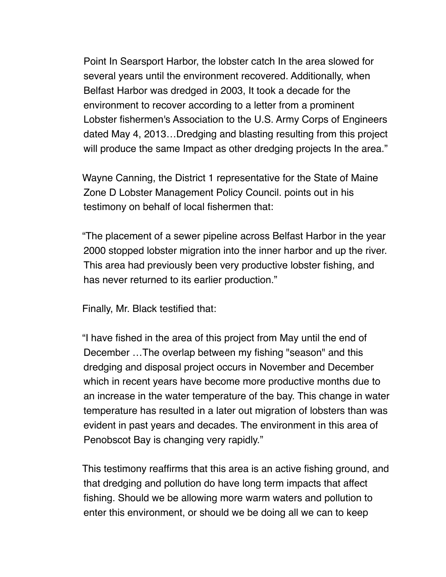Point In Searsport Harbor, the lobster catch In the area slowed for several years until the environment recovered. Additionally, when Belfast Harbor was dredged in 2003, It took a decade for the environment to recover according to a letter from a prominent Lobster fishermen's Association to the U.S. Army Corps of Engineers dated May 4, 2013…Dredging and blasting resulting from this project will produce the same Impact as other dredging projects In the area."

Wayne Canning, the District 1 representative for the State of Maine Zone D Lobster Management Policy Council. points out in his testimony on behalf of local fishermen that:

"The placement of a sewer pipeline across Belfast Harbor in the year 2000 stopped lobster migration into the inner harbor and up the river. This area had previously been very productive lobster fishing, and has never returned to its earlier production."

Finally, Mr. Black testified that:

"I have fished in the area of this project from May until the end of December …The overlap between my fishing "season" and this dredging and disposal project occurs in November and December which in recent years have become more productive months due to an increase in the water temperature of the bay. This change in water temperature has resulted in a later out migration of lobsters than was evident in past years and decades. The environment in this area of Penobscot Bay is changing very rapidly."

This testimony reaffirms that this area is an active fishing ground, and that dredging and pollution do have long term impacts that affect fishing. Should we be allowing more warm waters and pollution to enter this environment, or should we be doing all we can to keep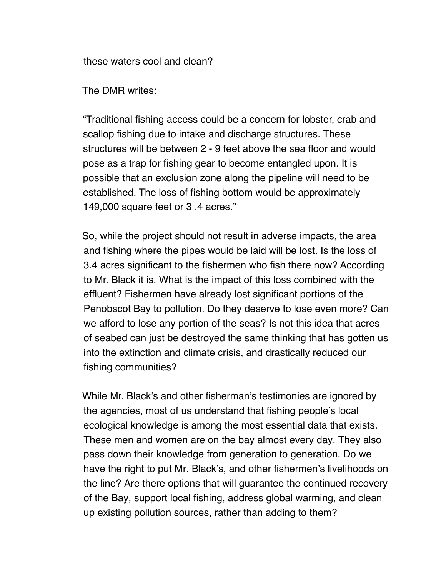these waters cool and clean?

The DMR writes:

"Traditional fishing access could be a concern for lobster, crab and scallop fishing due to intake and discharge structures. These structures will be between 2 - 9 feet above the sea floor and would pose as a trap for fishing gear to become entangled upon. It is possible that an exclusion zone along the pipeline will need to be established. The loss of fishing bottom would be approximately 149,000 square feet or 3 .4 acres."

So, while the project should not result in adverse impacts, the area and fishing where the pipes would be laid will be lost. Is the loss of 3.4 acres significant to the fishermen who fish there now? According to Mr. Black it is. What is the impact of this loss combined with the effluent? Fishermen have already lost significant portions of the Penobscot Bay to pollution. Do they deserve to lose even more? Can we afford to lose any portion of the seas? Is not this idea that acres of seabed can just be destroyed the same thinking that has gotten us into the extinction and climate crisis, and drastically reduced our fishing communities?

While Mr. Black's and other fisherman's testimonies are ignored by the agencies, most of us understand that fishing people's local ecological knowledge is among the most essential data that exists. These men and women are on the bay almost every day. They also pass down their knowledge from generation to generation. Do we have the right to put Mr. Black's, and other fishermen's livelihoods on the line? Are there options that will guarantee the continued recovery of the Bay, support local fishing, address global warming, and clean up existing pollution sources, rather than adding to them?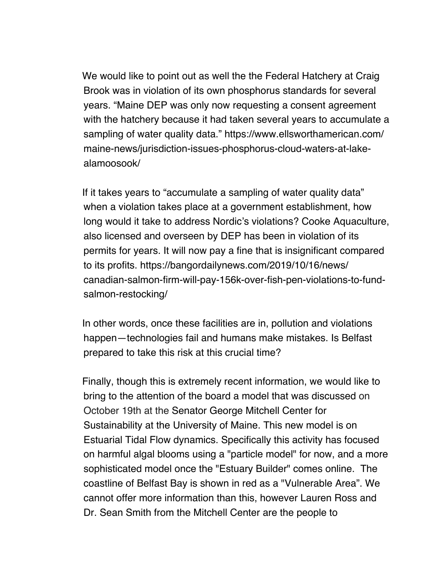We would like to point out as well the the Federal Hatchery at Craig Brook was in violation of its own phosphorus standards for several years. "Maine DEP was only now requesting a consent agreement with the hatchery because it had taken several years to accumulate a sampling of water quality data." https://www.ellsworthamerican.com/ maine-news/jurisdiction-issues-phosphorus-cloud-waters-at-lakealamoosook/

If it takes years to "accumulate a sampling of water quality data" when a violation takes place at a government establishment, how long would it take to address Nordic's violations? Cooke Aquaculture, also licensed and overseen by DEP has been in violation of its permits for years. It will now pay a fine that is insignificant compared to its profits. https://bangordailynews.com/2019/10/16/news/ canadian-salmon-firm-will-pay-156k-over-fish-pen-violations-to-fundsalmon-restocking/

In other words, once these facilities are in, pollution and violations happen—technologies fail and humans make mistakes. Is Belfast prepared to take this risk at this crucial time?

Finally, though this is extremely recent information, we would like to bring to the attention of the board a model that was discussed on October 19th at the Senator George Mitchell Center for Sustainability at the University of Maine. This new model is on Estuarial Tidal Flow dynamics. Specifically this activity has focused on harmful algal blooms using a "particle model" for now, and a more sophisticated model once the "Estuary Builder" comes online. The coastline of Belfast Bay is shown in red as a "Vulnerable Area". We cannot offer more information than this, however Lauren Ross and Dr. Sean Smith from the Mitchell Center are the people to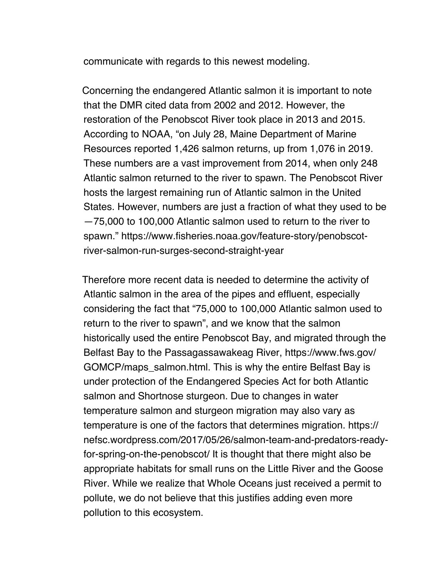communicate with regards to this newest modeling.

Concerning the endangered Atlantic salmon it is important to note that the DMR cited data from 2002 and 2012. However, the restoration of the Penobscot River took place in 2013 and 2015. According to NOAA, "on July 28, Maine Department of Marine Resources reported 1,426 salmon returns, up from 1,076 in 2019. These numbers are a vast improvement from 2014, when only 248 Atlantic salmon returned to the river to spawn. The Penobscot River hosts the largest remaining run of Atlantic salmon in the United States. However, numbers are just a fraction of what they used to be —75,000 to 100,000 Atlantic salmon used to return to the river to spawn." https://www.fisheries.noaa.gov/feature-story/penobscotriver-salmon-run-surges-second-straight-year

Therefore more recent data is needed to determine the activity of Atlantic salmon in the area of the pipes and effluent, especially considering the fact that "75,000 to 100,000 Atlantic salmon used to return to the river to spawn", and we know that the salmon historically used the entire Penobscot Bay, and migrated through the Belfast Bay to the Passagassawakeag River, https://www.fws.gov/ GOMCP/maps\_salmon.html. This is why the entire Belfast Bay is under protection of the Endangered Species Act for both Atlantic salmon and Shortnose sturgeon. Due to changes in water temperature salmon and sturgeon migration may also vary as temperature is one of the factors that determines migration. https:// nefsc.wordpress.com/2017/05/26/salmon-team-and-predators-readyfor-spring-on-the-penobscot/ It is thought that there might also be appropriate habitats for small runs on the Little River and the Goose River. While we realize that Whole Oceans just received a permit to pollute, we do not believe that this justifies adding even more pollution to this ecosystem.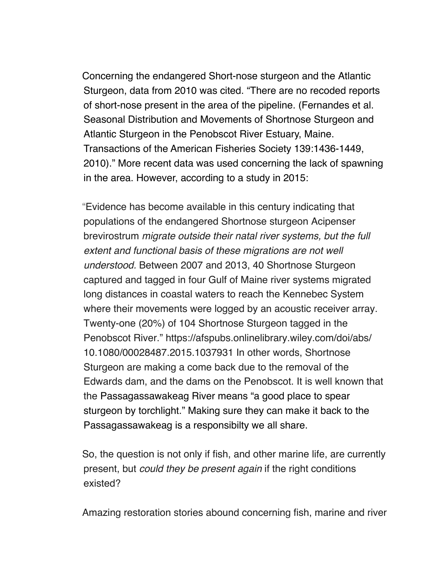Concerning the endangered Short-nose sturgeon and the Atlantic Sturgeon, data from 2010 was cited. "There are no recoded reports of short-nose present in the area of the pipeline. (Fernandes et al. Seasonal Distribution and Movements of Shortnose Sturgeon and Atlantic Sturgeon in the Penobscot River Estuary, Maine. Transactions of the American Fisheries Society 139:1436-1449, 2010)." More recent data was used concerning the lack of spawning in the area. However, according to a study in 2015:

"Evidence has become available in this century indicating that populations of the endangered Shortnose sturgeon Acipenser brevirostrum *migrate outside their natal river systems, but the full extent and functional basis of these migrations are not well understood.* Between 2007 and 2013, 40 Shortnose Sturgeon captured and tagged in four Gulf of Maine river systems migrated long distances in coastal waters to reach the Kennebec System where their movements were logged by an acoustic receiver array. Twenty-one (20%) of 104 Shortnose Sturgeon tagged in the Penobscot River." https://afspubs.onlinelibrary.wiley.com/doi/abs/ 10.1080/00028487.2015.1037931 In other words, Shortnose Sturgeon are making a come back due to the removal of the Edwards dam, and the dams on the Penobscot. It is well known that the Passagassawakeag River means "a good place to spear sturgeon by torchlight." Making sure they can make it back to the Passagassawakeag is a responsibilty we all share.

So, the question is not only if fish, and other marine life, are currently present, but *could they be present again* if the right conditions existed?

Amazing restoration stories abound concerning fish, marine and river